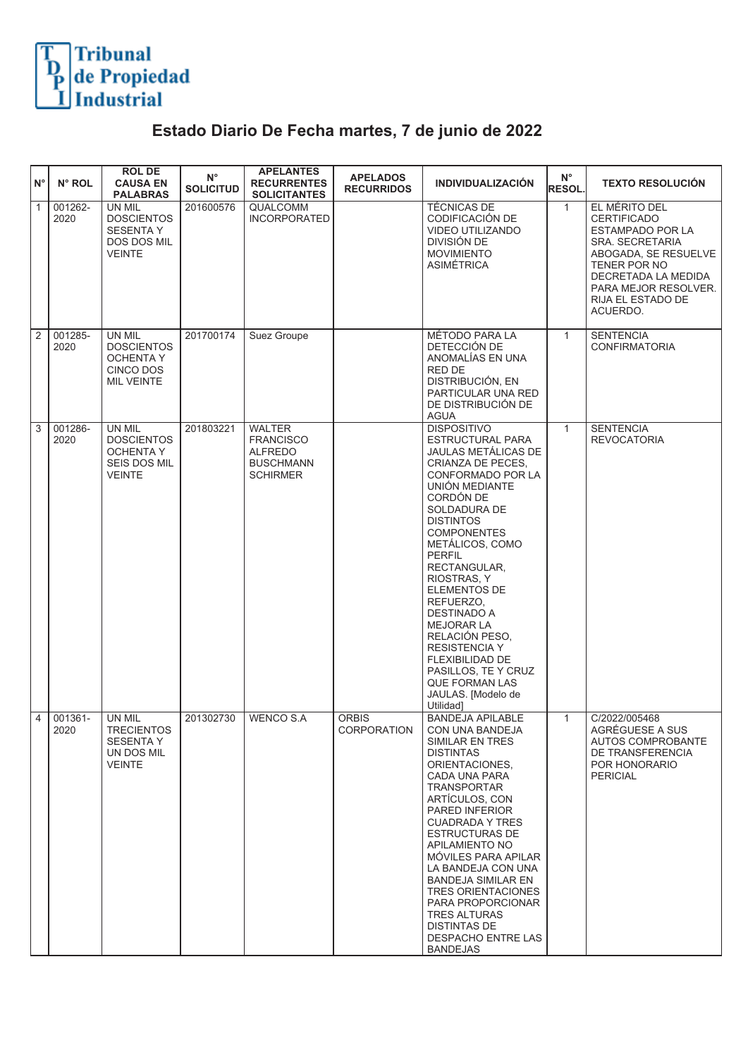

## **Estado Diario De Fecha martes, 7 de junio de 2022**

| $N^{\circ}$  | N° ROL          | <b>ROL DE</b><br><b>CAUSA EN</b><br><b>PALABRAS</b>                             | $\mathsf{N}^\circ$<br><b>SOLICITUD</b> | <b>APELANTES</b><br><b>RECURRENTES</b><br><b>SOLICITANTES</b>                              | <b>APELADOS</b><br><b>RECURRIDOS</b> | <b>INDIVIDUALIZACIÓN</b>                                                                                                                                                                                                                                                                                                                                                                                                                                                                           | $N^{\circ}$<br><b>RESOL.</b> | <b>TEXTO RESOLUCIÓN</b>                                                                                                                                                                            |
|--------------|-----------------|---------------------------------------------------------------------------------|----------------------------------------|--------------------------------------------------------------------------------------------|--------------------------------------|----------------------------------------------------------------------------------------------------------------------------------------------------------------------------------------------------------------------------------------------------------------------------------------------------------------------------------------------------------------------------------------------------------------------------------------------------------------------------------------------------|------------------------------|----------------------------------------------------------------------------------------------------------------------------------------------------------------------------------------------------|
| $\mathbf{1}$ | 001262-<br>2020 | UN MIL<br><b>DOSCIENTOS</b><br>SESENTA Y<br><b>DOS DOS MIL</b><br><b>VEINTE</b> | 201600576                              | <b>QUALCOMM</b><br><b>INCORPORATED</b>                                                     |                                      | <b>TÉCNICAS DE</b><br>CODIFICACIÓN DE<br><b>VIDEO UTILIZANDO</b><br>DIVISIÓN DE<br><b>MOVIMIENTO</b><br><b>ASIMÉTRICA</b>                                                                                                                                                                                                                                                                                                                                                                          | $\mathbf{1}$                 | EL MÉRITO DEL<br><b>CERTIFICADO</b><br>ESTAMPADO POR LA<br>SRA. SECRETARIA<br>ABOGADA, SE RESUELVE<br>TENER POR NO<br>DECRETADA LA MEDIDA<br>PARA MEJOR RESOLVER.<br>RIJA EL ESTADO DE<br>ACUERDO. |
| 2            | 001285-<br>2020 | <b>UN MIL</b><br><b>DOSCIENTOS</b><br>OCHENTA Y<br>CINCO DOS<br>MIL VEINTE      | 201700174                              | Suez Groupe                                                                                |                                      | <b>MÉTODO PARA LA</b><br>DETECCIÓN DE<br>ANOMALÍAS EN UNA<br>RED DE<br>DISTRIBUCIÓN, EN<br>PARTICULAR UNA RED<br>DE DISTRIBUCIÓN DE<br><b>AGUA</b>                                                                                                                                                                                                                                                                                                                                                 | $\mathbf{1}$                 | <b>SENTENCIA</b><br><b>CONFIRMATORIA</b>                                                                                                                                                           |
| 3            | 001286-<br>2020 | UN MIL<br><b>DOSCIENTOS</b><br><b>OCHENTA Y</b><br>SEIS DOS MIL<br>VEINTE       | 201803221                              | <b>WALTER</b><br><b>FRANCISCO</b><br><b>ALFREDO</b><br><b>BUSCHMANN</b><br><b>SCHIRMER</b> |                                      | <b>DISPOSITIVO</b><br><b>ESTRUCTURAL PARA</b><br>JAULAS METÁLICAS DE<br>CRIANZA DE PECES,<br>CONFORMADO POR LA<br>UNIÓN MEDIANTE<br>CORDÓN DE<br>SOLDADURA DE<br><b>DISTINTOS</b><br><b>COMPONENTES</b><br>METÁLICOS, COMO<br><b>PERFIL</b><br>RECTANGULAR,<br>RIOSTRAS, Y<br>ELEMENTOS DE<br>REFUERZO,<br><b>DESTINADO A</b><br><b>MEJORAR LA</b><br>RELACIÓN PESO,<br><b>RESISTENCIA Y</b><br>FLEXIBILIDAD DE<br>PASILLOS, TE Y CRUZ<br><b>QUE FORMAN LAS</b><br>JAULAS. [Modelo de<br>Utilidad] | $\mathbf{1}$                 | <b>SENTENCIA</b><br><b>REVOCATORIA</b>                                                                                                                                                             |
| 4            | 001361-<br>2020 | UN MIL<br>TRECIENTOS<br>SESENTA Y<br>UN DOS MIL<br><b>VEINTE</b>                | 201302730                              | <b>WENCO S.A</b>                                                                           | <b>ORBIS</b><br><b>CORPORATION</b>   | <b>BANDEJA APILABLE</b><br>CON UNA BANDEJA<br>SIMILAR EN TRES<br><b>DISTINTAS</b><br>ORIENTACIONES,<br>CADA UNA PARA<br>TRANSPORTAR<br>ARTÍCULOS, CON<br>PARED INFERIOR<br><b>CUADRADA Y TRES</b><br><b>ESTRUCTURAS DE</b><br><b>APILAMIENTO NO</b><br>MÓVILES PARA APILAR<br>LA BANDEJA CON UNA<br><b>BANDEJA SIMILAR EN</b><br><b>TRES ORIENTACIONES</b><br>PARA PROPORCIONAR<br><b>TRES ALTURAS</b><br>DISTINTAS DE<br>DESPACHO ENTRE LAS<br><b>BANDEJAS</b>                                    | $\mathbf{1}$                 | C/2022/005468<br>AGRÉGUESE A SUS<br>AUTOS COMPROBANTE<br>DE TRANSFERENCIA<br>POR HONORARIO<br><b>PERICIAL</b>                                                                                      |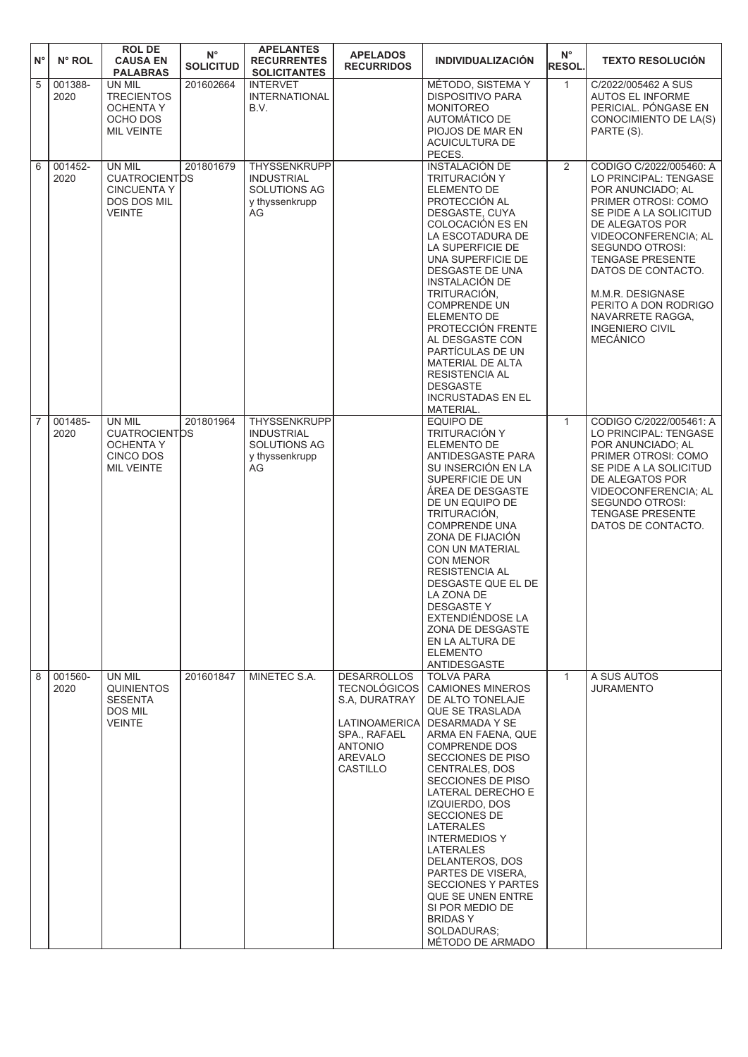| $N^{\circ}$    | N° ROL          | <b>ROL DE</b><br><b>CAUSA EN</b><br><b>PALABRAS</b>                                         | $\mathsf{N}^\circ$<br><b>SOLICITUD</b> | <b>APELANTES</b><br><b>RECURRENTES</b><br><b>SOLICITANTES</b>                    | <b>APELADOS</b><br><b>RECURRIDOS</b>                                                                                                               | <b>INDIVIDUALIZACIÓN</b>                                                                                                                                                                                                                                                                                                                                                                                                                                                                          | $N^{\circ}$<br><b>RESOL.</b> | <b>TEXTO RESOLUCIÓN</b>                                                                                                                                                                                                                                                                                                                                   |
|----------------|-----------------|---------------------------------------------------------------------------------------------|----------------------------------------|----------------------------------------------------------------------------------|----------------------------------------------------------------------------------------------------------------------------------------------------|---------------------------------------------------------------------------------------------------------------------------------------------------------------------------------------------------------------------------------------------------------------------------------------------------------------------------------------------------------------------------------------------------------------------------------------------------------------------------------------------------|------------------------------|-----------------------------------------------------------------------------------------------------------------------------------------------------------------------------------------------------------------------------------------------------------------------------------------------------------------------------------------------------------|
| 5              | 001388-<br>2020 | UN MIL<br><b>TRECIENTOS</b><br><b>OCHENTA Y</b><br>OCHO DOS<br><b>MIL VEINTE</b>            | 201602664                              | <b>INTERVET</b><br><b>INTERNATIONAL</b><br>B.V.                                  |                                                                                                                                                    | MÉTODO, SISTEMA Y<br><b>DISPOSITIVO PARA</b><br><b>MONITOREO</b><br>AUTOMÁTICO DE<br>PIOJOS DE MAR EN<br><b>ACUICULTURA DE</b><br>PECES.                                                                                                                                                                                                                                                                                                                                                          | $\mathbf{1}$                 | C/2022/005462 A SUS<br><b>AUTOS EL INFORME</b><br>PERICIAL. PÓNGASE EN<br>CONOCIMIENTO DE LA(S)<br>PARTE (S).                                                                                                                                                                                                                                             |
| 6              | 001452-<br>2020 | UN MIL<br><b>CUATROCIENTOS</b><br><b>CINCUENTA Y</b><br><b>DOS DOS MIL</b><br><b>VEINTE</b> | 201801679                              | <b>THYSSENKRUPP</b><br><b>INDUSTRIAL</b><br>SOLUTIONS AG<br>y thyssenkrupp<br>AG |                                                                                                                                                    | <b>INSTALACIÓN DE</b><br>TRITURACIÓN Y<br><b>ELEMENTO DE</b><br>PROTECCIÓN AL<br>DESGASTE, CUYA<br>COLOCACIÓN ES EN<br>LA ESCOTADURA DE<br>LA SUPERFICIE DE<br>UNA SUPERFICIE DE<br>DESGASTE DE UNA<br>INSTALACIÓN DE<br>TRITURACIÓN,<br><b>COMPRENDE UN</b><br>ELEMENTO DE<br>PROTECCIÓN FRENTE<br>AL DESGASTE CON<br>PARTÍCULAS DE UN<br>MATERIAL DE ALTA<br><b>RESISTENCIA AL</b><br><b>DESGASTE</b><br><b>INCRUSTADAS EN EL</b><br>MATERIAL.                                                  | 2                            | CODIGO C/2022/005460: A<br>LO PRINCIPAL: TENGASE<br>POR ANUNCIADO; AL<br>PRIMER OTROSI: COMO<br>SE PIDE A LA SOLICITUD<br>DE ALEGATOS POR<br>VIDEOCONFERENCIA; AL<br><b>SEGUNDO OTROSI:</b><br><b>TENGASE PRESENTE</b><br>DATOS DE CONTACTO.<br>M.M.R. DESIGNASE<br>PERITO A DON RODRIGO<br>NAVARRETE RAGGA.<br><b>INGENIERO CIVIL</b><br><b>MECÁNICO</b> |
| $\overline{7}$ | 001485-<br>2020 | UN MIL<br><b>CUATROCIENTOS</b><br><b>OCHENTA Y</b><br>CINCO DOS<br>MIL VEINTE               | 201801964                              | THYSSENKRUPP<br><b>INDUSTRIAL</b><br>SOLUTIONS AG<br>y thyssenkrupp<br>AG        |                                                                                                                                                    | <b>EQUIPO DE</b><br>TRITURACIÓN Y<br>ELEMENTO DE<br>ANTIDESGASTE PARA<br>SU INSERCIÓN EN LA<br>SUPERFICIE DE UN<br>ÁREA DE DESGASTE<br>DE UN EQUIPO DE<br>TRITURACIÓN,<br><b>COMPRENDE UNA</b><br>ZONA DE FIJACIÓN<br><b>CON UN MATERIAL</b><br>CON MENOR<br><b>RESISTENCIA AL</b><br>DESGASTE QUE EL DE<br>LA ZONA DE<br><b>DESGASTEY</b><br>EXTENDIÉNDOSE LA<br>ZONA DE DESGASTE<br>EN LA ALTURA DE<br><b>ELEMENTO</b><br>ANTIDESGASTE                                                          | $\mathbf{1}$                 | CODIGO C/2022/005461: A<br>LO PRINCIPAL: TENGASE<br>POR ANUNCIADO; AL<br>PRIMER OTROSI: COMO<br>SE PIDE A LA SOLICITUD<br>DE ALEGATOS POR<br>VIDEOCONFERENCIA; AL<br>SEGUNDO OTROSI:<br><b>TENGASE PRESENTE</b><br>DATOS DE CONTACTO.                                                                                                                     |
| 8              | 001560-<br>2020 | UN MIL<br><b>QUINIENTOS</b><br><b>SESENTA</b><br>DOS MIL<br>VEINTE                          | 201601847                              | MINETEC S.A.                                                                     | <b>DESARROLLOS</b><br><b>TECNOLÓGICOS</b><br>S.A. DURATRAY<br><b>LATINOAMERICA</b><br><b>SPA., RAFAEL</b><br><b>ANTONIO</b><br>AREVALO<br>CASTILLO | <b>TOLVA PARA</b><br><b>CAMIONES MINEROS</b><br>DE ALTO TONELAJE<br><b>QUE SE TRASLADA</b><br>DESARMADA Y SE<br>ARMA EN FAENA, QUE<br><b>COMPRENDE DOS</b><br>SECCIONES DE PISO<br>CENTRALES, DOS<br>SECCIONES DE PISO<br>LATERAL DERECHO E<br>IZQUIERDO, DOS<br>SECCIONES DE<br>LATERALES<br><b>INTERMEDIOS Y</b><br>LATERALES<br>DELANTEROS, DOS<br>PARTES DE VISERA,<br><b>SECCIONES Y PARTES</b><br>QUE SE UNEN ENTRE<br>SI POR MEDIO DE<br><b>BRIDASY</b><br>SOLDADURAS;<br>MÉTODO DE ARMADO | $\mathbf{1}$                 | A SUS AUTOS<br><b>JURAMENTO</b>                                                                                                                                                                                                                                                                                                                           |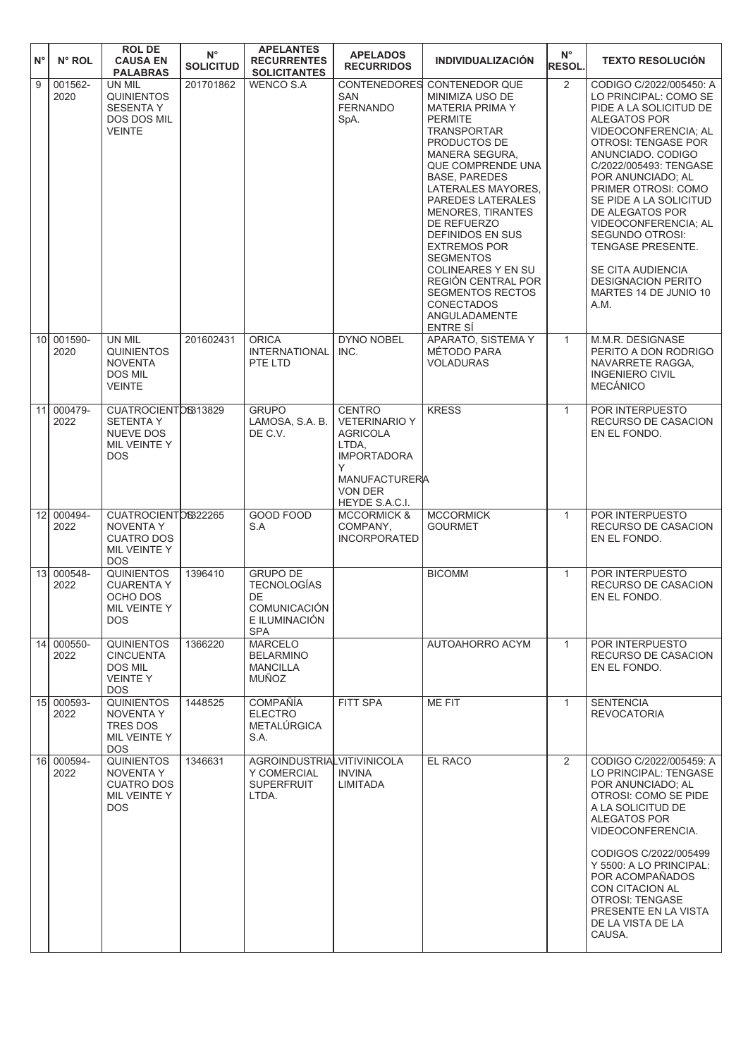| $N^{\circ}$     | N° ROL             | <b>ROL DE</b><br><b>CAUSA EN</b><br><b>PALABRAS</b>                                        | $N^{\circ}$<br><b>SOLICITUD</b> | <b>APELANTES</b><br><b>RECURRENTES</b><br><b>SOLICITANTES</b>                              | <b>APELADOS</b><br><b>RECURRIDOS</b>                                                                                                                     | <b>INDIVIDUALIZACIÓN</b>                                                                                                                                                                                                                                                                                                                                                                                                                                                              | $N^{\circ}$<br><b>RESOL.</b> | <b>TEXTO RESOLUCIÓN</b>                                                                                                                                                                                                                                                                                                                                                                                                                            |
|-----------------|--------------------|--------------------------------------------------------------------------------------------|---------------------------------|--------------------------------------------------------------------------------------------|----------------------------------------------------------------------------------------------------------------------------------------------------------|---------------------------------------------------------------------------------------------------------------------------------------------------------------------------------------------------------------------------------------------------------------------------------------------------------------------------------------------------------------------------------------------------------------------------------------------------------------------------------------|------------------------------|----------------------------------------------------------------------------------------------------------------------------------------------------------------------------------------------------------------------------------------------------------------------------------------------------------------------------------------------------------------------------------------------------------------------------------------------------|
| $\overline{9}$  | 001562-<br>2020    | UN MIL<br><b>QUINIENTOS</b><br><b>SESENTA Y</b><br><b>DOS DOS MIL</b><br><b>VEINTE</b>     | 201701862                       | <b>WENCO S.A</b>                                                                           | <b>CONTENEDORES</b><br><b>SAN</b><br><b>FERNANDO</b><br>SpA.                                                                                             | <b>CONTENEDOR QUE</b><br>MINIMIZA USO DE<br><b>MATERIA PRIMA Y</b><br><b>PERMITE</b><br><b>TRANSPORTAR</b><br>PRODUCTOS DE<br><b>MANERA SEGURA.</b><br>QUE COMPRENDE UNA<br><b>BASE, PAREDES</b><br>LATERALES MAYORES,<br>PAREDES LATERALES<br><b>MENORES, TIRANTES</b><br>DE REFUERZO<br><b>DEFINIDOS EN SUS</b><br><b>EXTREMOS POR</b><br><b>SEGMENTOS</b><br>COLINEARES Y EN SU<br>REGIÓN CENTRAL POR<br><b>SEGMENTOS RECTOS</b><br><b>CONECTADOS</b><br>ANGULADAMENTE<br>ENTRE SÍ | 2                            | CODIGO C/2022/005450: A<br>LO PRINCIPAL: COMO SE<br>PIDE A LA SOLICITUD DE<br>ALEGATOS POR<br>VIDEOCONFERENCIA; AL<br><b>OTROSI: TENGASE POR</b><br>ANUNCIADO. CODIGO<br>C/2022/005493: TENGASE<br>POR ANUNCIADO; AL<br>PRIMER OTROSI: COMO<br>SE PIDE A LA SOLICITUD<br>DE ALEGATOS POR<br>VIDEOCONFERENCIA: AL<br><b>SEGUNDO OTROSI:</b><br>TENGASE PRESENTE.<br>SE CITA AUDIENCIA<br><b>DESIGNACION PERITO</b><br>MARTES 14 DE JUNIO 10<br>A.M. |
| 10 <sup>1</sup> | 001590-<br>2020    | UN MIL<br><b>QUINIENTOS</b><br><b>NOVENTA</b><br><b>DOS MIL</b><br><b>VEINTE</b>           | 201602431                       | <b>ORICA</b><br><b>INTERNATIONAL</b><br>PTE LTD                                            | <b>DYNO NOBEL</b><br>INC.                                                                                                                                | APARATO, SISTEMA Y<br>MÉTODO PARA<br><b>VOLADURAS</b>                                                                                                                                                                                                                                                                                                                                                                                                                                 | $\mathbf{1}$                 | M.M.R. DESIGNASE<br>PERITO A DON RODRIGO<br>NAVARRETE RAGGA.<br><b>INGENIERO CIVIL</b><br><b>MECÁNICO</b>                                                                                                                                                                                                                                                                                                                                          |
|                 | 11 000479-<br>2022 | CUATROCIENTOS313829<br><b>SETENTAY</b><br><b>NUEVE DOS</b><br>MIL VEINTE Y<br><b>DOS</b>   |                                 | <b>GRUPO</b><br>LAMOSA, S.A. B.<br>DE C.V.                                                 | <b>CENTRO</b><br><b>VETERINARIO Y</b><br><b>AGRICOLA</b><br>LTDA,<br><b>IMPORTADORA</b><br>Y<br><b>MANUFACTURERA</b><br><b>VON DER</b><br>HEYDE S.A.C.I. | <b>KRESS</b>                                                                                                                                                                                                                                                                                                                                                                                                                                                                          | $\mathbf{1}$                 | <b>POR INTERPUESTO</b><br>RECURSO DE CASACION<br>EN EL FONDO.                                                                                                                                                                                                                                                                                                                                                                                      |
| 12 <sup>1</sup> | 000494-<br>2022    | CUATROCIENTOS322265<br><b>NOVENTA Y</b><br><b>CUATRO DOS</b><br>MIL VEINTE Y<br><b>DOS</b> |                                 | <b>GOOD FOOD</b><br>S.A                                                                    | <b>MCCORMICK &amp;</b><br>COMPANY,<br><b>INCORPORATED</b>                                                                                                | <b>MCCORMICK</b><br><b>GOURMET</b>                                                                                                                                                                                                                                                                                                                                                                                                                                                    | $\mathbf{1}$                 | POR INTERPUESTO<br>RECURSO DE CASACION<br>EN EL FONDO.                                                                                                                                                                                                                                                                                                                                                                                             |
| 13 <sup>1</sup> | 000548-<br>2022    | <b>QUINIENTOS</b><br><b>CUARENTA Y</b><br>OCHO DOS<br>MIL VEINTE Y<br><b>DOS</b>           | 1396410                         | <b>GRUPO DE</b><br><b>TECNOLOGÍAS</b><br>DE<br>COMUNICACIÓN<br>E ILUMINACIÓN<br><b>SPA</b> |                                                                                                                                                          | <b>BICOMM</b>                                                                                                                                                                                                                                                                                                                                                                                                                                                                         | $\mathbf{1}$                 | POR INTERPUESTO<br>RECURSO DE CASACION<br>EN EL FONDO.                                                                                                                                                                                                                                                                                                                                                                                             |
|                 | 14 000550-<br>2022 | <b>QUINIENTOS</b><br><b>CINCUENTA</b><br>DOS MIL<br><b>VEINTEY</b><br><b>DOS</b>           | 1366220                         | <b>MARCELO</b><br><b>BELARMINO</b><br><b>MANCILLA</b><br>MUÑOZ                             |                                                                                                                                                          | AUTOAHORRO ACYM                                                                                                                                                                                                                                                                                                                                                                                                                                                                       | $\mathbf{1}$                 | POR INTERPUESTO<br>RECURSO DE CASACION<br>EN EL FONDO.                                                                                                                                                                                                                                                                                                                                                                                             |
|                 | 15 000593-<br>2022 | QUINIENTOS<br>NOVENTA Y<br>TRES DOS<br>MIL VEINTE Y<br><b>DOS</b>                          | 1448525                         | <b>COMPAÑÍA</b><br><b>ELECTRO</b><br>METALÚRGICA<br>S.A.                                   | <b>FITT SPA</b>                                                                                                                                          | <b>ME FIT</b>                                                                                                                                                                                                                                                                                                                                                                                                                                                                         | $\mathbf{1}$                 | <b>SENTENCIA</b><br><b>REVOCATORIA</b>                                                                                                                                                                                                                                                                                                                                                                                                             |
|                 | 16 000594-<br>2022 | <b>QUINIENTOS</b><br><b>NOVENTA Y</b><br><b>CUATRO DOS</b><br>MIL VEINTE Y<br><b>DOS</b>   | 1346631                         | AGROINDUSTRIALVITIVINICOLA<br>Y COMERCIAL<br><b>SUPERFRUIT</b><br>LTDA.                    | <b>INVINA</b><br>LIMITADA                                                                                                                                | EL RACO                                                                                                                                                                                                                                                                                                                                                                                                                                                                               | $\overline{2}$               | CODIGO C/2022/005459: A<br>LO PRINCIPAL: TENGASE<br>POR ANUNCIADO; AL<br>OTROSI: COMO SE PIDE<br>A LA SOLICITUD DE<br>ALEGATOS POR<br>VIDEOCONFERENCIA.<br>CODIGOS C/2022/005499<br>Y 5500: A LO PRINCIPAL:<br>POR ACOMPAÑADOS<br>CON CITACION AL<br><b>OTROSI: TENGASE</b><br>PRESENTE EN LA VISTA<br>DE LA VISTA DE LA<br>CAUSA.                                                                                                                 |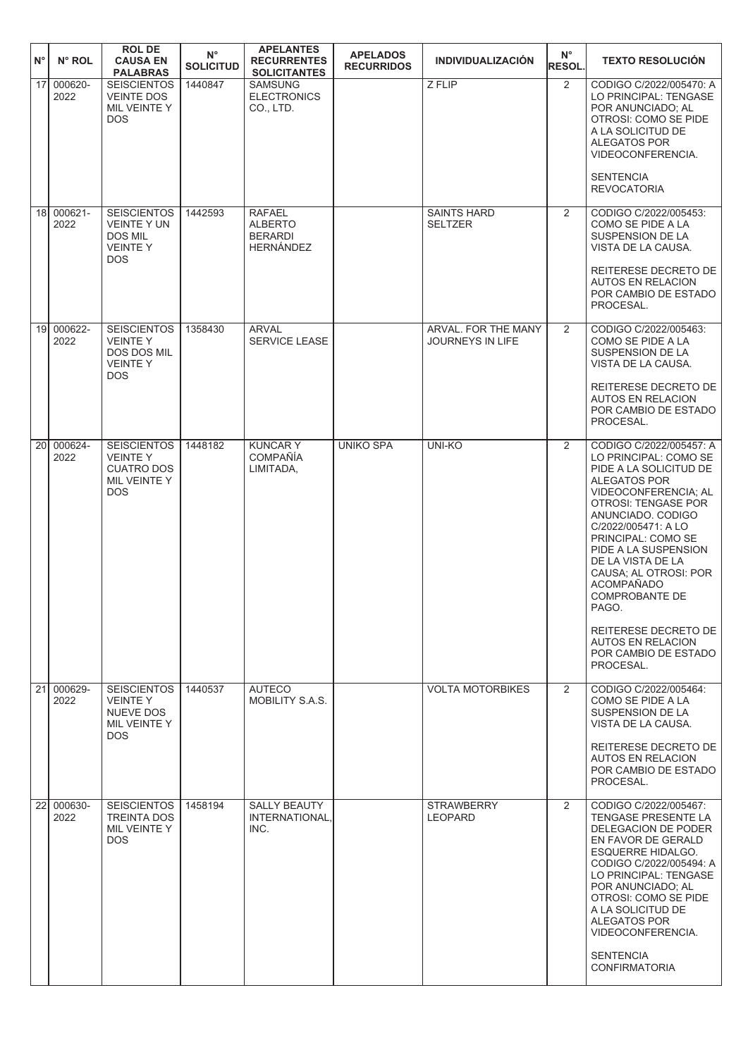| $\mathsf{N}^\circ$ | N° ROL             | <b>ROL DE</b><br><b>CAUSA EN</b><br><b>PALABRAS</b>                                        | $N^{\circ}$<br><b>SOLICITUD</b> | <b>APELANTES</b><br><b>RECURRENTES</b><br><b>SOLICITANTES</b>         | <b>APELADOS</b><br><b>RECURRIDOS</b> | <b>INDIVIDUALIZACIÓN</b>                       | $N^{\circ}$<br><b>RESOL.</b> | <b>TEXTO RESOLUCIÓN</b>                                                                                                                                                                                                                                                                                                                                                                             |
|--------------------|--------------------|--------------------------------------------------------------------------------------------|---------------------------------|-----------------------------------------------------------------------|--------------------------------------|------------------------------------------------|------------------------------|-----------------------------------------------------------------------------------------------------------------------------------------------------------------------------------------------------------------------------------------------------------------------------------------------------------------------------------------------------------------------------------------------------|
| 17 <sup>1</sup>    | 000620-<br>2022    | <b>SEISCIENTOS</b><br><b>VEINTE DOS</b><br>MIL VEINTE Y<br><b>DOS</b>                      | 1440847                         | <b>SAMSUNG</b><br><b>ELECTRONICS</b><br>CO., LTD.                     |                                      | Z FLIP                                         | $\overline{2}$               | CODIGO C/2022/005470: A<br>LO PRINCIPAL: TENGASE<br>POR ANUNCIADO: AL<br>OTROSI: COMO SE PIDE<br>A LA SOLICITUD DE<br>ALEGATOS POR<br>VIDEOCONFERENCIA.                                                                                                                                                                                                                                             |
|                    |                    |                                                                                            |                                 |                                                                       |                                      |                                                |                              | <b>SENTENCIA</b><br><b>REVOCATORIA</b>                                                                                                                                                                                                                                                                                                                                                              |
| 18                 | $000621 -$<br>2022 | <b>SEISCIENTOS</b><br><b>VEINTE Y UN</b><br><b>DOS MIL</b><br><b>VEINTEY</b><br><b>DOS</b> | 1442593                         | <b>RAFAEL</b><br><b>ALBERTO</b><br><b>BERARDI</b><br><b>HERNÁNDEZ</b> |                                      | <b>SAINTS HARD</b><br><b>SELTZER</b>           | $\overline{2}$               | CODIGO C/2022/005453:<br>COMO SE PIDE A LA<br>SUSPENSION DE LA<br>VISTA DE LA CAUSA.                                                                                                                                                                                                                                                                                                                |
|                    |                    |                                                                                            |                                 |                                                                       |                                      |                                                |                              | REITERESE DECRETO DE<br><b>AUTOS EN RELACION</b><br>POR CAMBIO DE ESTADO<br>PROCESAL.                                                                                                                                                                                                                                                                                                               |
| 19 <sup>1</sup>    | 000622-<br>2022    | <b>SEISCIENTOS</b><br><b>VEINTEY</b><br>DOS DOS MIL<br><b>VEINTEY</b><br><b>DOS</b>        | 1358430                         | <b>ARVAL</b><br><b>SERVICE LEASE</b>                                  |                                      | ARVAL. FOR THE MANY<br><b>JOURNEYS IN LIFE</b> | $\overline{2}$               | CODIGO C/2022/005463:<br>COMO SE PIDE A LA<br>SUSPENSION DE LA<br>VISTA DE LA CAUSA.                                                                                                                                                                                                                                                                                                                |
|                    |                    |                                                                                            |                                 |                                                                       |                                      |                                                |                              | REITERESE DECRETO DE<br><b>AUTOS EN RELACION</b><br>POR CAMBIO DE ESTADO<br>PROCESAL.                                                                                                                                                                                                                                                                                                               |
| 20 <sup>1</sup>    | 000624-<br>2022    | <b>SEISCIENTOS</b><br><b>VEINTEY</b><br><b>CUATRO DOS</b><br>MIL VEINTE Y<br><b>DOS</b>    | 1448182                         | <b>KUNCARY</b><br><b>COMPAÑÍA</b><br>LIMITADA,                        | <b>UNIKO SPA</b>                     | <b>UNI-KO</b>                                  | $\overline{2}$               | CODIGO C/2022/005457: A<br>LO PRINCIPAL: COMO SE<br>PIDE A LA SOLICITUD DE<br><b>ALEGATOS POR</b><br>VIDEOCONFERENCIA; AL<br>OTROSI: TENGASE POR<br>ANUNCIADO. CODIGO<br>C/2022/005471: A LO<br>PRINCIPAL: COMO SE<br>PIDE A LA SUSPENSION<br>DE LA VISTA DE LA<br>CAUSA; AL OTROSI: POR<br><b>ACOMPAÑADO</b><br><b>COMPROBANTE DE</b><br>PAGO.<br>REITERESE DECRETO DE<br><b>AUTOS EN RELACION</b> |
|                    |                    |                                                                                            |                                 |                                                                       |                                      |                                                |                              | POR CAMBIO DE ESTADO<br>PROCESAL.                                                                                                                                                                                                                                                                                                                                                                   |
|                    | 21 000629-<br>2022 | <b>SEISCIENTOS</b><br><b>VEINTEY</b><br><b>NUEVE DOS</b><br>MIL VEINTE Y<br><b>DOS</b>     | 1440537                         | <b>AUTECO</b><br>MOBILITY S.A.S.                                      |                                      | <b>VOLTA MOTORBIKES</b>                        | $\overline{2}$               | CODIGO C/2022/005464:<br>COMO SE PIDE A LA<br>SUSPENSION DE LA<br>VISTA DE LA CAUSA.<br>REITERESE DECRETO DE                                                                                                                                                                                                                                                                                        |
|                    |                    |                                                                                            |                                 |                                                                       |                                      |                                                |                              | <b>AUTOS EN RELACION</b><br>POR CAMBIO DE ESTADO<br>PROCESAL.                                                                                                                                                                                                                                                                                                                                       |
|                    | 22 000630-<br>2022 | <b>SEISCIENTOS</b><br><b>TREINTA DOS</b><br>MIL VEINTE Y<br><b>DOS</b>                     | 1458194                         | <b>SALLY BEAUTY</b><br>INTERNATIONAL,<br>INC.                         |                                      | <b>STRAWBERRY</b><br>LEOPARD                   | $\overline{2}$               | CODIGO C/2022/005467:<br><b>TENGASE PRESENTE LA</b><br>DELEGACION DE PODER<br>EN FAVOR DE GERALD<br>ESQUERRE HIDALGO.<br>CODIGO C/2022/005494: A<br>LO PRINCIPAL: TENGASE<br>POR ANUNCIADO; AL<br>OTROSI: COMO SE PIDE<br>A LA SOLICITUD DE<br>ALEGATOS POR<br>VIDEOCONFERENCIA.<br><b>SENTENCIA</b><br><b>CONFIRMATORIA</b>                                                                        |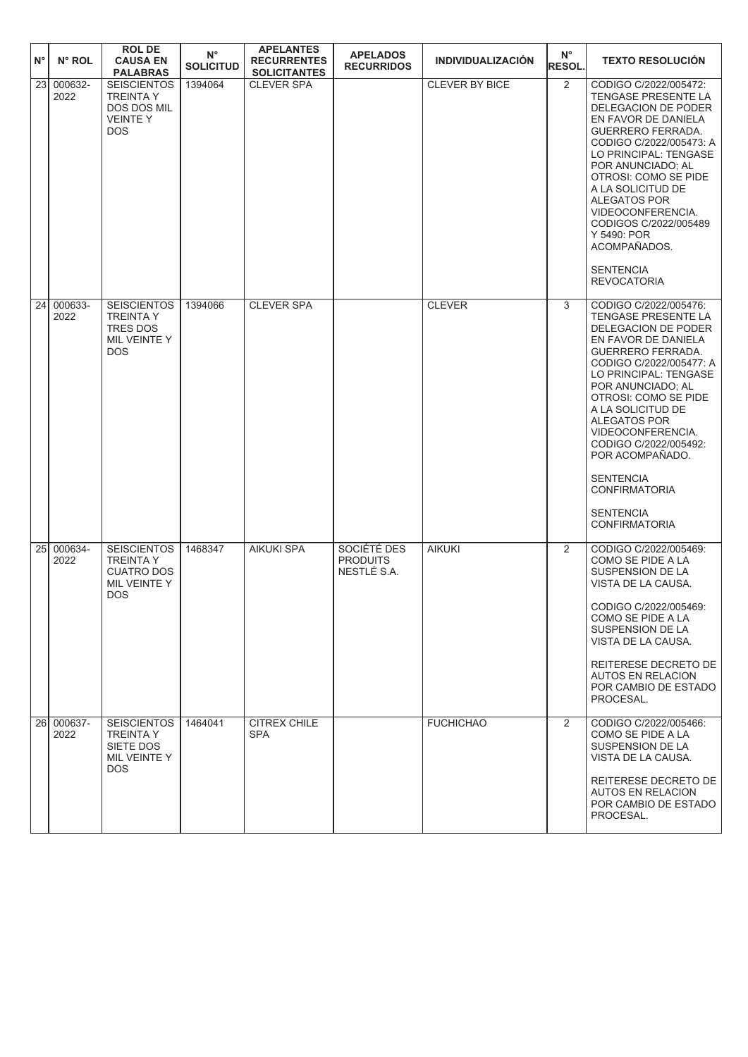| ١N°             | N° ROL             | <b>ROL DE</b><br><b>CAUSA EN</b><br><b>PALABRAS</b>                                       | $N^{\circ}$<br><b>SOLICITUD</b> | <b>APELANTES</b><br><b>RECURRENTES</b><br><b>SOLICITANTES</b> | <b>APELADOS</b><br><b>RECURRIDOS</b>          | <b>INDIVIDUALIZACIÓN</b> | $N^{\circ}$<br><b>RESOL.</b> | <b>TEXTO RESOLUCIÓN</b>                                                                                                                                                                                                                                                                                                                                                                                               |
|-----------------|--------------------|-------------------------------------------------------------------------------------------|---------------------------------|---------------------------------------------------------------|-----------------------------------------------|--------------------------|------------------------------|-----------------------------------------------------------------------------------------------------------------------------------------------------------------------------------------------------------------------------------------------------------------------------------------------------------------------------------------------------------------------------------------------------------------------|
| $\overline{23}$ | 000632-<br>2022    | <b>SEISCIENTOS</b><br><b>TREINTAY</b><br>DOS DOS MIL<br><b>VEINTEY</b><br><b>DOS</b>      | 1394064                         | <b>CLEVER SPA</b>                                             |                                               | CLEVER BY BICE           | 2                            | CODIGO C/2022/005472:<br>TENGASE PRESENTE LA<br>DELEGACION DE PODER<br>EN FAVOR DE DANIELA<br><b>GUERRERO FERRADA.</b><br>CODIGO C/2022/005473: A<br>LO PRINCIPAL: TENGASE<br>POR ANUNCIADO; AL<br>OTROSI: COMO SE PIDE<br>A LA SOLICITUD DE<br><b>ALEGATOS POR</b><br>VIDEOCONFERENCIA.<br>CODIGOS C/2022/005489<br>Y 5490: POR<br>ACOMPAÑADOS.<br><b>SENTENCIA</b><br><b>REVOCATORIA</b>                            |
| 24              | 000633-<br>2022    | <b>SEISCIENTOS</b><br><b>TREINTA Y</b><br><b>TRES DOS</b><br>MIL VEINTE Y<br><b>DOS</b>   | 1394066                         | <b>CLEVER SPA</b>                                             |                                               | <b>CLEVER</b>            | 3                            | CODIGO C/2022/005476:<br>TENGASE PRESENTE LA<br>DELEGACION DE PODER<br>EN FAVOR DE DANIELA<br><b>GUERRERO FERRADA.</b><br>CODIGO C/2022/005477: A<br>LO PRINCIPAL: TENGASE<br>POR ANUNCIADO; AL<br>OTROSI: COMO SE PIDE<br>A LA SOLICITUD DE<br>ALEGATOS POR<br>VIDEOCONFERENCIA.<br>CODIGO C/2022/005492:<br>POR ACOMPAÑADO.<br><b>SENTENCIA</b><br><b>CONFIRMATORIA</b><br><b>SENTENCIA</b><br><b>CONFIRMATORIA</b> |
| 25 <sub>l</sub> | 000634-<br>2022    | <b>SEISCIENTOS</b><br><b>TREINTA Y</b><br><b>CUATRO DOS</b><br>MIL VEINTE Y<br><b>DOS</b> | 1468347                         | <b>AIKUKI SPA</b>                                             | SOCIÉTÉ DES<br><b>PRODUITS</b><br>NESTLÉ S.A. | <b>AIKUKI</b>            | 2                            | CODIGO C/2022/005469:<br>COMO SE PIDE A LA<br>SUSPENSION DE LA<br>VISTA DE LA CAUSA.<br>CODIGO C/2022/005469:<br>COMO SE PIDE A LA<br>SUSPENSION DE LA<br>VISTA DE LA CAUSA.<br>REITERESE DECRETO DE<br><b>AUTOS EN RELACION</b><br>POR CAMBIO DE ESTADO<br>PROCESAL.                                                                                                                                                 |
|                 | 26 000637-<br>2022 | <b>SEISCIENTOS</b><br><b>TREINTA Y</b><br>SIETE DOS<br>MIL VEINTE Y<br>DOS.               | 1464041                         | CITREX CHILE<br><b>SPA</b>                                    |                                               | <b>FUCHICHAO</b>         | 2                            | CODIGO C/2022/005466:<br>COMO SE PIDE A LA<br>SUSPENSION DE LA<br>VISTA DE LA CAUSA.<br>REITERESE DECRETO DE<br><b>AUTOS EN RELACION</b><br>POR CAMBIO DE ESTADO<br>PROCESAL.                                                                                                                                                                                                                                         |